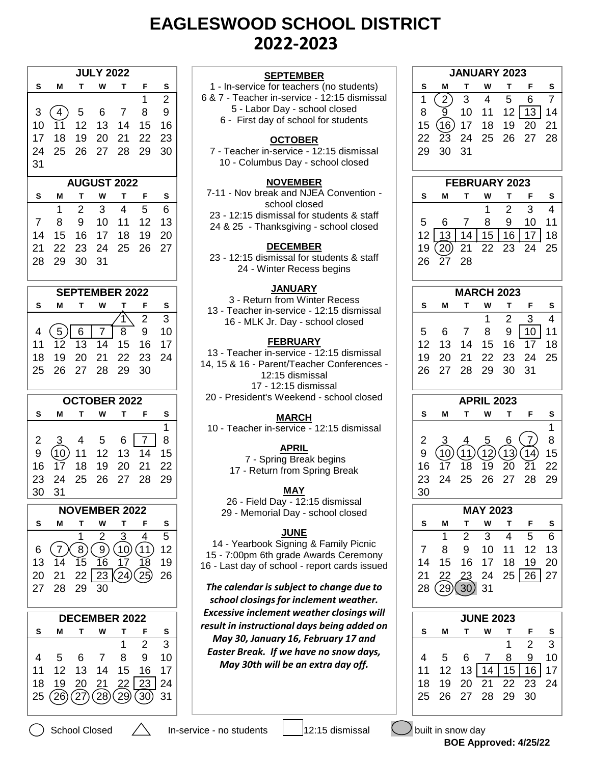# **EAGLESWOOD SCHOOL DISTRICT 2022-2023**

|          |                |                        | <b>JULY 2022</b>          |                |                |                | <b>SEPTEMBER</b>                                                           |                |                              |                | <b>JANUARY 2023</b>  |                |                                                                                  |
|----------|----------------|------------------------|---------------------------|----------------|----------------|----------------|----------------------------------------------------------------------------|----------------|------------------------------|----------------|----------------------|----------------|----------------------------------------------------------------------------------|
| s        | М              | т                      | W                         | т              | F              | S              | 1 - In-service for teachers (no students)                                  | s              | Μ                            | Т              | w                    | т              | F                                                                                |
|          |                |                        |                           |                | 1              | $\overline{2}$ | 6 & 7 - Teacher in-service - 12:15 dismissal                               | 1              | $\left( \frac{2}{2} \right)$ | 3              | $\overline{4}$       | 5              | $\,6\,$                                                                          |
| 3        | 4              | 5                      | 6                         | 7              | 8              | 9              | 5 - Labor Day - school closed                                              | 8              | $\overline{9}$               | 10             | 11                   | 12             | $\vert$ 13                                                                       |
| 10       | 11             | 12                     | 13                        | 14             | 15             | 16             | 6 - First day of school for students                                       | 15             | (16)                         | 17             | 18                   | 19             | 20                                                                               |
| 17       | 18             | 19                     | 20                        | 21             | 22             | 23             | <b>OCTOBER</b>                                                             | 22             | 23                           | 24             | 25                   | 26             | 27                                                                               |
| 24       | 25             | 26                     | 27                        | 28             | 29             | 30             | 7 - Teacher in-service - 12:15 dismissal                                   | 29             | 30                           | 31             |                      |                |                                                                                  |
| 31       |                |                        |                           |                |                |                | 10 - Columbus Day - school closed                                          |                |                              |                |                      |                |                                                                                  |
|          |                |                        | <b>AUGUST 2022</b>        |                |                |                | <b>NOVEMBER</b>                                                            |                |                              |                | FEBRUARY 2023        |                |                                                                                  |
| s        | м              | T                      | W                         | Т              | F              | S              | 7-11 - Nov break and NJEA Convention -                                     | S              | М                            | т              | W                    | т              | F                                                                                |
|          | 1              | $\overline{2}$         | 3                         | $\overline{4}$ | 5              | 6              | school closed<br>23 - 12:15 dismissal for students & staff                 |                |                              |                | 1                    | $\overline{2}$ | 3                                                                                |
| 7        | 8              | 9                      | 10                        | 11             | 12             | 13             | 24 & 25 - Thanksgiving - school closed                                     | 5              | 6                            | $\overline{7}$ | 8                    | 9              | 10                                                                               |
| 14       | 15             | 16                     | 17                        | 18             | 19             | 20             |                                                                            | 12             | 13                           | 14             | 15                   | 16             | 17                                                                               |
| 21       | 22             | 23                     | 24                        | 25             | 26             | 27             | <b>DECEMBER</b>                                                            | 19             | (20)                         | 21             | 22                   | 23             | 24                                                                               |
| 28       | 29             | 30                     | 31                        |                |                |                | 23 - 12:15 dismissal for students & staff<br>24 - Winter Recess begins     | 26             | 27                           | 28             |                      |                |                                                                                  |
|          |                |                        |                           |                |                |                |                                                                            |                |                              |                |                      |                |                                                                                  |
|          |                |                        | <b>SEPTEMBER 2022</b>     |                |                |                | <b>JANUARY</b>                                                             |                |                              |                | <b>MARCH 2023</b>    |                |                                                                                  |
| s        | м              | т                      | w                         | т              | F              | S              | 3 - Return from Winter Recess<br>13 - Teacher in-service - 12:15 dismissal | s              | М                            | т              | W                    | т              | F                                                                                |
|          |                |                        |                           |                | $\overline{2}$ | 3              | 16 - MLK Jr. Day - school closed                                           |                |                              |                | 1                    | $\overline{2}$ | $\mathfrak{B}$                                                                   |
| 4        | 5 <sup>2</sup> | 6                      | $\overline{7}$            | $\overline{8}$ | 9              | 10             |                                                                            | 5              | 6                            | $\overline{7}$ | 8                    | 9              | 10                                                                               |
| 11       | 12             | 13                     | 14                        | 15             | 16             | 17             | <b>FEBRUARY</b>                                                            | 12             | 13                           | 14             | 15                   | 16             | 17                                                                               |
| 18       | 19             | 20                     | 21                        | 22             | 23             | 24             | 13 - Teacher in-service - 12:15 dismissal                                  | 19             | 20                           | 21             | 22                   | 23             | 24                                                                               |
| 25       | 26             | 27                     | 28                        | 29             | 30             |                | 14, 15 & 16 - Parent/Teacher Conferences -<br>12:15 dismissal              | 26             | 27                           | 28             | 29                   | 30             | 31                                                                               |
|          |                |                        |                           |                |                |                | 17 - 12:15 dismissal                                                       |                |                              |                |                      |                |                                                                                  |
|          |                |                        | <b>OCTOBER 2022</b>       |                |                |                | 20 - President's Weekend - school closed                                   |                |                              |                | <b>APRIL 2023</b>    |                |                                                                                  |
| s        |                |                        |                           |                |                |                |                                                                            |                |                              |                |                      |                |                                                                                  |
|          | М              | т                      | W                         | т              | F              | S              |                                                                            | s              | M                            | т              | w                    | т              |                                                                                  |
|          |                |                        |                           |                |                | 1              | <b>MARCH</b><br>10 - Teacher in-service - 12:15 dismissal                  |                |                              |                |                      |                |                                                                                  |
| 2        | 3              | 4                      | 5                         | 6              | $\overline{7}$ | 8              |                                                                            | 2              | 3                            |                | 5                    | 6              |                                                                                  |
| 9        | (10)           | 11                     | 12                        | 13             | 14             | 15             | <b>APRIL</b>                                                               | 9              |                              | (11)           | 12 <sub>2</sub>      |                |                                                                                  |
| 16       | 17             | 18                     | 19                        | 20             | 21             | 22             | 7 - Spring Break begins                                                    | 16             | (10)<br>17                   | 18             | 19                   | (13)<br>20     |                                                                                  |
| 23       | 24             | 25                     | 26                        | 27             | 28             | 29             | 17 - Return from Spring Break                                              | 23             | 24                           | 25             | 26                   | 27             |                                                                                  |
| 30       | 31             |                        |                           |                |                |                | <b>MAY</b>                                                                 |                |                              |                |                      |                |                                                                                  |
|          |                |                        |                           |                |                |                | 26 - Field Day - 12:15 dismissal                                           | 30             |                              |                |                      |                |                                                                                  |
| S        | М              | Т                      | <b>NOVEMBER 2022</b><br>W | Т              | F              |                | 29 - Memorial Day - school closed                                          | S              | Μ                            | Т              | <b>MAY 2023</b><br>W | т              |                                                                                  |
|          |                |                        |                           |                | 4              | S              | <b>JUNE</b>                                                                |                | 1                            |                | 3                    | 4              |                                                                                  |
|          |                |                        | $\overline{2}$            | 3              |                | 5              | 14 - Yearbook Signing & Family Picnic                                      |                |                              | $\overline{2}$ |                      |                |                                                                                  |
| 6        | $\overline{7}$ | $\left 8\right\rangle$ | $\left(9\right)$          | (10)<br>17     | (11)           | 12             | 15 - 7:00pm 6th grade Awards Ceremony                                      | $\overline{7}$ | 8                            | 9              | 10                   | 11             |                                                                                  |
| 13       | 14             | $\overline{15}$        | 16                        |                | 18             | 19             | 16 - Last day of school - report cards issued                              | 14             | 15                           | 16             | 17                   | 18             |                                                                                  |
| 20<br>27 | 21<br>28       | 22<br>29               | 23<br>30                  | (24)           | (25)           | 26             | The calendar is subject to change due to                                   | 21<br>28       | 22                           | 23             | 24<br>31             | 25             | F<br>$\overline{7}$<br>(14<br>$\overline{21}$<br>28<br>F<br>5<br>12<br>19<br> 26 |
|          |                |                        |                           |                |                |                | school closings for inclement weather.                                     |                | (29)                         | (30)           |                      |                |                                                                                  |
|          |                |                        | <b>DECEMBER 2022</b>      |                |                |                | <b>Excessive inclement weather closings will</b>                           |                |                              |                | <b>JUNE 2023</b>     |                |                                                                                  |
| S        | М              | T                      | w                         | Т              | F              | S              | result in instructional days being added on                                | $\mathbf{s}$   | Μ                            | $\mathbf T$    | W                    | T              |                                                                                  |
|          |                |                        |                           | 1              | $\overline{2}$ | 3              | May 30, January 16, February 17 and                                        |                |                              |                |                      | 1              |                                                                                  |
| 4        | 5              | 6                      | 7                         | 8              | 9              | 10             | Easter Break. If we have no snow days,                                     | 4              | 5                            | 6              | $\overline{7}$       | 8              |                                                                                  |
| 11       | 12             | 13                     | 14                        | 15             | 16             | 17             | May 30th will be an extra day off.                                         | 11             | 12                           |                | $13$ 14              | 15             |                                                                                  |
| 18       | 19             | 20                     | 21                        | 22             | 23             | 24             |                                                                            | 18             | 19                           | 20             | 21                   | 22             |                                                                                  |
| 25       | (26)           | (27)                   | (28)                      | 29)            | (30)           | 31             |                                                                            | 25             | 26                           | 27             | 28                   | 29             | F<br>$\overline{2}$<br>$\boldsymbol{9}$<br>16<br>23<br>30                        |

#### **NOVEMBER**

# **DECEMBER**

# **JANUARY**

# **FEBRUARY**

# **MARCH**

# **APRIL**

# **MAY**

# **JUNE**

| <b>JULY 2022</b>                                                                                                    | <b>SEPTEMBER</b>                                              | <b>JANUARY 2023</b>                                                              |
|---------------------------------------------------------------------------------------------------------------------|---------------------------------------------------------------|----------------------------------------------------------------------------------|
| т<br>W<br>Т<br>F<br>S<br>S<br>м                                                                                     | 1 - In-service for teachers (no students)                     | s<br>Т<br>S<br>W<br>Т<br>F<br>M                                                  |
| $\overline{2}$<br>1                                                                                                 | 6 & 7 - Teacher in-service - 12:15 dismissal                  | $\overline{7}$<br>3<br>5<br>$\mathbf{2}$<br>$\overline{4}$<br>6<br>1             |
| 8<br>9<br>5<br>3<br>6<br>$\overline{7}$<br>4                                                                        | 5 - Labor Day - school closed                                 | 8<br>10<br>12<br> 13 <br>9<br>11<br>14                                           |
| 12<br>13<br>15<br>16<br>10<br>14<br>11                                                                              | 6 - First day of school for students                          | (16)<br>15<br>18<br>19<br>20<br>21<br>17                                         |
|                                                                                                                     |                                                               |                                                                                  |
| 23<br>17<br>18<br>19<br>20<br>21<br>22                                                                              | <b>OCTOBER</b>                                                | 22<br>23<br>25<br>26<br>27<br>28<br>24                                           |
| 25<br>26<br>28<br>30<br>24<br>27<br>29                                                                              | 7 - Teacher in-service - 12:15 dismissal                      | 30<br>29<br>31                                                                   |
| 31                                                                                                                  | 10 - Columbus Day - school closed                             |                                                                                  |
| <b>AUGUST 2022</b>                                                                                                  | <b>NOVEMBER</b>                                               | FEBRUARY 2023                                                                    |
| S<br>S<br>т<br>w<br>Т<br>М<br>F                                                                                     | 7-11 - Nov break and NJEA Convention -                        | s<br>т<br>т<br>S<br>М<br>W<br>F                                                  |
| 3<br>5<br>$\overline{2}$<br>1<br>4<br>6                                                                             | school closed                                                 | $\overline{2}$<br>3<br>1<br>4                                                    |
|                                                                                                                     | 23 - 12:15 dismissal for students & staff                     |                                                                                  |
| 8<br>10<br>12<br>13<br>9<br>11<br>7                                                                                 | 24 & 25 - Thanksgiving - school closed                        | 8<br>10<br>11<br>5<br>7<br>9<br>6                                                |
| 20<br>17<br>18<br>19<br>14<br>15<br>16                                                                              |                                                               | 15<br>12<br>13<br>14<br>16<br>18<br>17                                           |
| 26<br>27<br>21<br>22<br>23<br>24<br>25                                                                              | <b>DECEMBER</b>                                               | (20)<br>21<br>22<br>23<br>19<br>24<br>25                                         |
| 28<br>29<br>30<br>31                                                                                                | 23 - 12:15 dismissal for students & staff                     | 26<br>27<br>28                                                                   |
|                                                                                                                     | 24 - Winter Recess begins                                     |                                                                                  |
| <b>SEPTEMBER 2022</b>                                                                                               | <b>JANUARY</b>                                                | <b>MARCH 2023</b>                                                                |
|                                                                                                                     | 3 - Return from Winter Recess                                 |                                                                                  |
| S<br>s<br>М<br>w<br>F<br>т<br>Т                                                                                     | 13 - Teacher in-service - 12:15 dismissal                     | т<br>s<br>м<br>W<br>т<br>s<br>F                                                  |
| $\overline{3}$<br>$\overline{2}$                                                                                    | 16 - MLK Jr. Day - school closed                              | $\overline{2}$<br>3<br>1<br>4                                                    |
| $5\phantom{.0}$<br>$6\,$<br>$\overline{7}$<br>10<br>8<br>9<br>4                                                     |                                                               | 8<br>9<br>10<br>5<br>$\overline{7}$<br>11<br>6                                   |
| 17<br>13<br>14<br>16<br>12<br>15<br>11                                                                              | <b>FEBRUARY</b>                                               | 12<br>16<br>17<br>18<br>13<br>15<br>14                                           |
| 21<br>23<br>18<br>19<br>20<br>22<br>24                                                                              | 13 - Teacher in-service - 12:15 dismissal                     | 20<br>22<br>24<br>25<br>19<br>21<br>23                                           |
| 25<br>26<br>27<br>28<br>29<br>30                                                                                    | 14, 15 & 16 - Parent/Teacher Conferences -<br>12:15 dismissal | 27<br>28<br>30<br>26<br>29<br>31                                                 |
|                                                                                                                     |                                                               |                                                                                  |
|                                                                                                                     |                                                               |                                                                                  |
|                                                                                                                     | 17 - 12:15 dismissal                                          |                                                                                  |
| <b>OCTOBER 2022</b>                                                                                                 | 20 - President's Weekend - school closed                      | <b>APRIL 2023</b>                                                                |
| W<br>S<br>М<br>т<br>T.<br>F<br>S                                                                                    | <b>MARCH</b>                                                  | s<br>Т<br>W<br>s<br>M<br>т<br>F                                                  |
| 1                                                                                                                   | 10 - Teacher in-service - 12:15 dismissal                     | 1                                                                                |
| 8<br>$\overline{7}$<br>4<br>5<br>6<br>2<br>3                                                                        |                                                               | 8<br>2<br>7<br>5<br>6<br>3<br>4                                                  |
| 9<br>(10)<br>12<br>13<br>15<br>11<br>14                                                                             | <b>APRIL</b>                                                  | (11)<br>(10)<br>15<br>9<br>14                                                    |
| 22<br>19<br>20<br>21<br>18<br>17                                                                                    | 7 - Spring Break begins                                       | $\left(12\right)$<br>$\left(13\right)$<br>17<br>20<br>22<br>16<br>18<br>21<br>19 |
| 24<br>26<br>27<br>28<br>29                                                                                          | 17 - Return from Spring Break                                 | 24<br>25<br>26<br>27<br>28<br>29                                                 |
| 25                                                                                                                  | <b>MAY</b>                                                    | 23                                                                               |
| 31                                                                                                                  | 26 - Field Day - 12:15 dismissal                              | 30                                                                               |
| <b>NOVEMBER 2022</b>                                                                                                | 29 - Memorial Day - school closed                             | <b>MAY 2023</b>                                                                  |
| W<br>S<br>S<br>М<br>т<br>т<br>F                                                                                     |                                                               | s<br>M<br>Τ<br>W<br>F<br>s<br>Т                                                  |
| 5<br>2<br>3<br>4                                                                                                    | <b>JUNE</b>                                                   | 3<br>$\overline{2}$<br>$\overline{4}$<br>5<br>6<br>1                             |
| 12<br>$\overline{7}$<br>6                                                                                           | 14 - Yearbook Signing & Family Picnic                         | 12<br>$\overline{7}$<br>9<br>10<br>11<br>13<br>8                                 |
| $\bigcirc$<br>$\left[ 8\right]$<br>$\left(9\right)$<br>(11)<br>$\overline{15}$<br>$\overline{16}$<br>17<br>18<br>14 | 15 - 7:00pm 6th grade Awards Ceremony                         | 15<br>16<br>17<br>14<br>18<br>19                                                 |
| 19                                                                                                                  | 16 - Last day of school - report cards issued                 | 20                                                                               |
| 23(24)<br>$\left( 25\right)$<br>22<br>26<br>21                                                                      |                                                               | 25 26 <br>21<br>24<br>27<br>22<br>23                                             |
| 28<br>29<br>30                                                                                                      | The calendar is subject to change due to                      | (29)(30)<br>28<br>31                                                             |
|                                                                                                                     | school closings for inclement weather.                        |                                                                                  |
| <b>DECEMBER 2022</b>                                                                                                | <b>Excessive inclement weather closings will</b>              | <b>JUNE 2023</b>                                                                 |
| W<br>S<br>s<br>М<br>Т<br>Т<br>F                                                                                     | result in instructional days being added on                   | S<br>W<br>M<br>$\mathbf T$<br>s<br>т<br>F                                        |
| $\overline{2}$<br>3<br>1                                                                                            | May 30, January 16, February 17 and                           | $\overline{2}$<br>3<br>1                                                         |
|                                                                                                                     | Easter Break. If we have no snow days,                        |                                                                                  |
| $9\,$<br>10<br>$\overline{7}$<br>8<br>5<br>6<br>4                                                                   | May 30th will be an extra day off.                            | 9<br>10<br>5<br>$\overline{7}$<br>4<br>6<br>8                                    |
| 12<br>17<br>13<br>14<br>15<br>16                                                                                    |                                                               | 15<br>16<br>12<br>$13$   14<br>11<br>17                                          |
| 16<br>23<br>30<br>13<br>20<br>27<br>11<br>22<br>23<br>18<br>19<br>20<br>21<br>24                                    |                                                               | 19<br>20<br>21<br>22<br>23<br>18<br>24                                           |
| (28)<br>(27)<br>(29)<br>25<br>(26)<br>31<br>(30)                                                                    |                                                               | 28<br>26<br>29<br>30<br>25<br>27                                                 |

 **BOE Approved: 4/25/22**